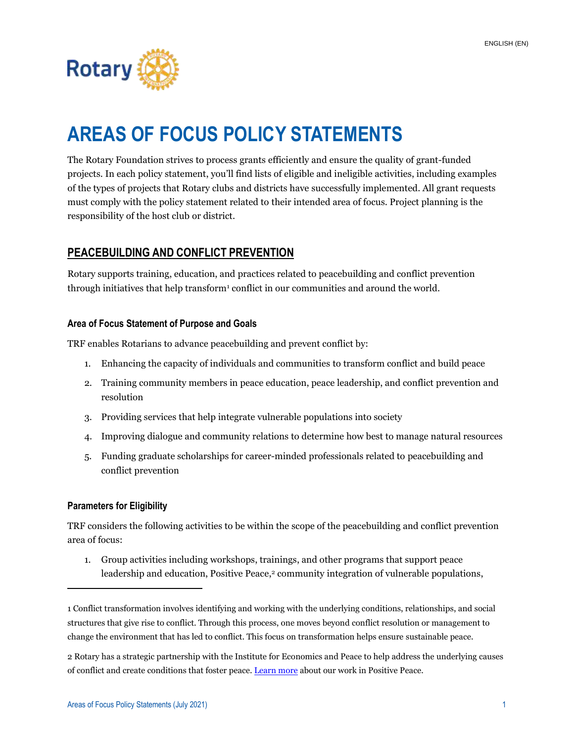

# **AREAS OF FOCUS POLICY STATEMENTS**

The Rotary Foundation strives to process grants efficiently and ensure the quality of grant-funded projects. In each policy statement, you'll find lists of eligible and ineligible activities, including examples of the types of projects that Rotary clubs and districts have successfully implemented. All grant requests must comply with the policy statement related to their intended area of focus. Project planning is the responsibility of the host club or district.

# **PEACEBUILDING AND CONFLICT PREVENTION**

Rotary supports training, education, and practices related to peacebuilding and conflict prevention through initiatives that help transform<sup>1</sup> conflict in our communities and around the world.

# **Area of Focus Statement of Purpose and Goals**

TRF enables Rotarians to advance peacebuilding and prevent conflict by:

- 1. Enhancing the capacity of individuals and communities to transform conflict and build peace
- 2. Training community members in peace education, peace leadership, and conflict prevention and resolution
- 3. Providing services that help integrate vulnerable populations into society
- 4. Improving dialogue and community relations to determine how best to manage natural resources
- 5. Funding graduate scholarships for career-minded professionals related to peacebuilding and conflict prevention

#### **Parameters for Eligibility**

TRF considers the following activities to be within the scope of the peacebuilding and conflict prevention area of focus:

1. Group activities including workshops, trainings, and other programs that support peace leadership and education, Positive Peace, <sup>2</sup> community integration of vulnerable populations,

<sup>1</sup> Conflict transformation involves identifying and working with the underlying conditions, relationships, and social structures that give rise to conflict. Through this process, one moves beyond conflict resolution or management to change the environment that has led to conflict. This focus on transformation helps ensure sustainable peace.

<sup>2</sup> Rotary has a strategic partnership with the Institute for Economics and Peace to help address the underlying causes of conflict and create conditions that foster peace. [Learn more](https://www.rotary.org/en/institute-economics-and-peace) about our work in Positive Peace.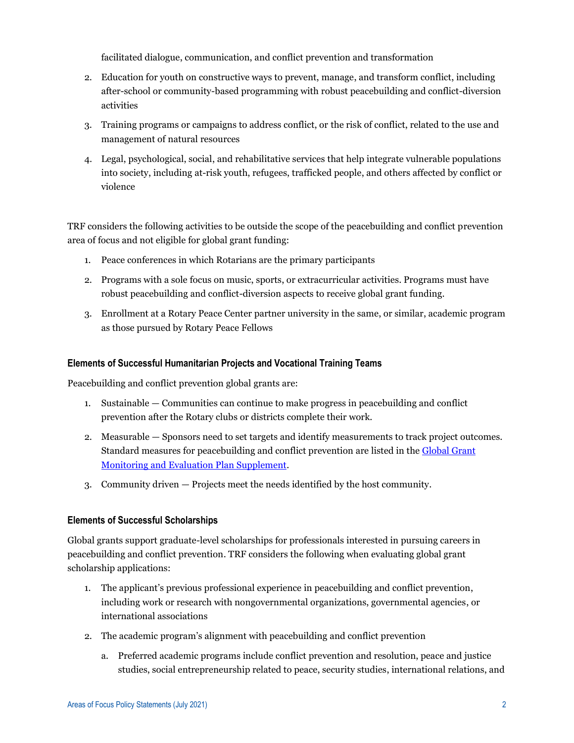facilitated dialogue, communication, and conflict prevention and transformation

- 2. Education for youth on constructive ways to prevent, manage, and transform conflict, including after-school or community-based programming with robust peacebuilding and conflict-diversion activities
- 3. Training programs or campaigns to address conflict, or the risk of conflict, related to the use and management of natural resources
- 4. Legal, psychological, social, and rehabilitative services that help integrate vulnerable populations into society, including at-risk youth, refugees, trafficked people, and others affected by conflict or violence

TRF considers the following activities to be outside the scope of the peacebuilding and conflict prevention area of focus and not eligible for global grant funding:

- 1. Peace conferences in which Rotarians are the primary participants
- 2. Programs with a sole focus on music, sports, or extracurricular activities. Programs must have robust peacebuilding and conflict-diversion aspects to receive global grant funding.
- 3. Enrollment at a Rotary Peace Center partner university in the same, or similar, academic program as those pursued by Rotary Peace Fellows

# **Elements of Successful Humanitarian Projects and Vocational Training Teams**

Peacebuilding and conflict prevention global grants are:

- 1. Sustainable Communities can continue to make progress in peacebuilding and conflict prevention after the Rotary clubs or districts complete their work.
- 2. Measurable Sponsors need to set targets and identify measurements to track project outcomes. Standard measures for peacebuilding and conflict prevention are listed in the [Global Grant](https://my.rotary.org/en/document/global-grant-monitoring-and-evaluation-plan-supplement)  [Monitoring and Evaluation Plan Supplement.](https://my.rotary.org/en/document/global-grant-monitoring-and-evaluation-plan-supplement)
- 3. Community driven Projects meet the needs identified by the host community.

#### **Elements of Successful Scholarships**

Global grants support graduate-level scholarships for professionals interested in pursuing careers in peacebuilding and conflict prevention. TRF considers the following when evaluating global grant scholarship applications:

- 1. The applicant's previous professional experience in peacebuilding and conflict prevention, including work or research with nongovernmental organizations, governmental agencies, or international associations
- 2. The academic program's alignment with peacebuilding and conflict prevention
	- a. Preferred academic programs include conflict prevention and resolution, peace and justice studies, social entrepreneurship related to peace, security studies, international relations, and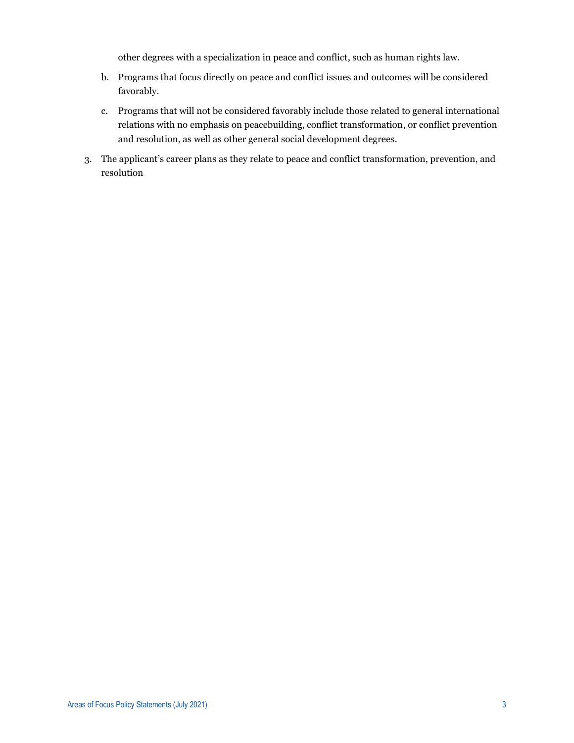other degrees with a specialization in peace and conflict, such as human rights law.

- b. Programs that focus directly on peace and conflict issues and outcomes will be considered favorably.
- c. Programs that will not be considered favorably include those related to general international relations with no emphasis on peacebuilding, conflict transformation, or conflict prevention and resolution, as well as other general social development degrees.
- 3. The applicant's career plans as they relate to peace and conflict transformation, prevention, and resolution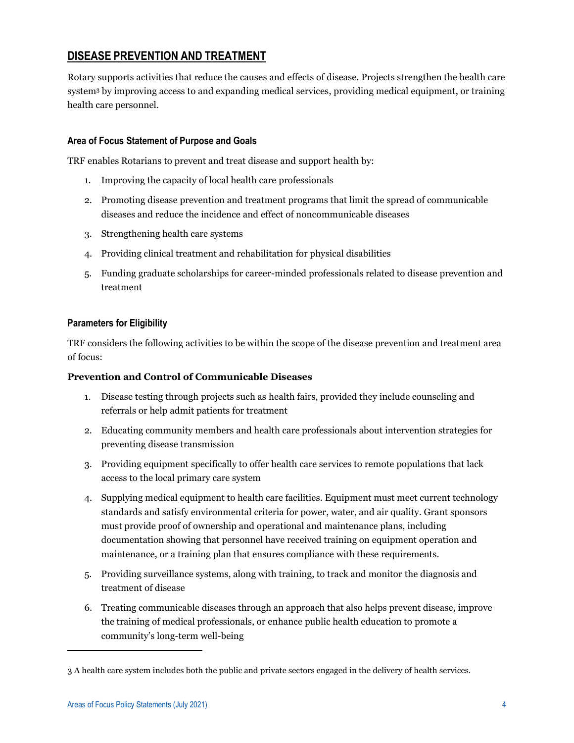# **DISEASE PREVENTION AND TREATMENT**

Rotary supports activities that reduce the causes and effects of disease. Projects strengthen the health care system<sup>3</sup> by improving access to and expanding medical services, providing medical equipment, or training health care personnel.

# **Area of Focus Statement of Purpose and Goals**

TRF enables Rotarians to prevent and treat disease and support health by:

- 1. Improving the capacity of local health care professionals
- 2. Promoting disease prevention and treatment programs that limit the spread of communicable diseases and reduce the incidence and effect of noncommunicable diseases
- 3. Strengthening health care systems
- 4. Providing clinical treatment and rehabilitation for physical disabilities
- 5. Funding graduate scholarships for career-minded professionals related to disease prevention and treatment

# **Parameters for Eligibility**

TRF considers the following activities to be within the scope of the disease prevention and treatment area of focus:

#### **Prevention and Control of Communicable Diseases**

- 1. Disease testing through projects such as health fairs, provided they include counseling and referrals or help admit patients for treatment
- 2. Educating community members and health care professionals about intervention strategies for preventing disease transmission
- 3. Providing equipment specifically to offer health care services to remote populations that lack access to the local primary care system
- 4. Supplying medical equipment to health care facilities. Equipment must meet current technology standards and satisfy environmental criteria for power, water, and air quality. Grant sponsors must provide proof of ownership and operational and maintenance plans, including documentation showing that personnel have received training on equipment operation and maintenance, or a training plan that ensures compliance with these requirements.
- 5. Providing surveillance systems, along with training, to track and monitor the diagnosis and treatment of disease
- 6. Treating communicable diseases through an approach that also helps prevent disease, improve the training of medical professionals, or enhance public health education to promote a community's long-term well-being

<sup>3</sup> A health care system includes both the public and private sectors engaged in the delivery of health services.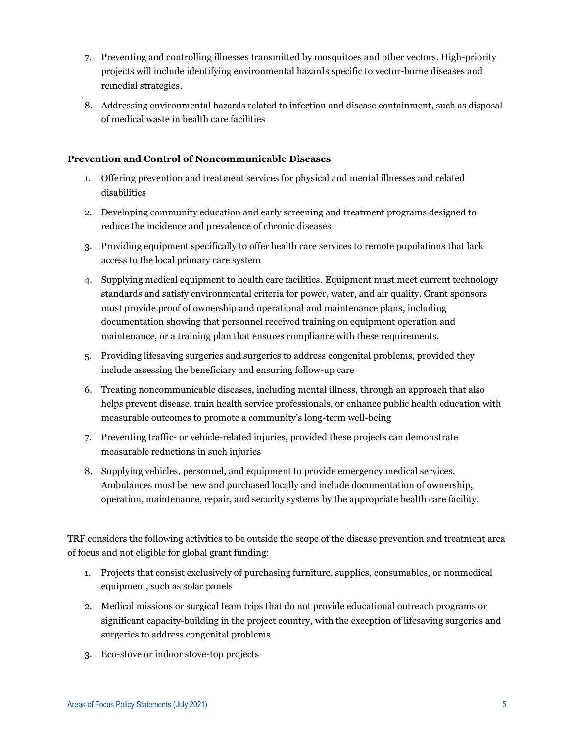- 7. Preventing and controlling illnesses transmitted by mosquitoes and other vectors. High-priority projects will include identifying environmental hazards specific to vector-borne diseases and remedial strategies.
- 8. Addressing environmental hazards related to infection and disease containment, such as disposal of medical waste in health care facilities

# **Prevention and Control of Noncommunicable Diseases**

- 1. Offering prevention and treatment services for physical and mental illnesses and related disabilities
- 2. Developing community education and early screening and treatment programs designed to reduce the incidence and prevalence of chronic diseases
- 3. Providing equipment specifically to offer health care services to remote populations that lack access to the local primary care system
- 4. Supplying medical equipment to health care facilities. Equipment must meet current technology standards and satisfy environmental criteria for power, water, and air quality. Grant sponsors must provide proof of ownership and operational and maintenance plans, including documentation showing that personnel received training on equipment operation and maintenance, or a training plan that ensures compliance with these requirements.
- 5. Providing lifesaving surgeries and surgeries to address congenital problems, provided they include assessing the beneficiary and ensuring follow-up care
- 6. Treating noncommunicable diseases, including mental illness, through an approach that also helps prevent disease, train health service professionals, or enhance public health education with measurable outcomes to promote a community's long-term well-being
- 7. Preventing traffic- or vehicle-related injuries, provided these projects can demonstrate measurable reductions in such injuries
- 8. Supplying vehicles, personnel, and equipment to provide emergency medical services. Ambulances must be new and purchased locally and include documentation of ownership, operation, maintenance, repair, and security systems by the appropriate health care facility.

TRF considers the following activities to be outside the scope of the disease prevention and treatment area of focus and not eligible for global grant funding:

- 1. Projects that consist exclusively of purchasing furniture, supplies, consumables, or nonmedical equipment, such as solar panels
- 2. Medical missions or surgical team trips that do not provide educational outreach programs or significant capacity-building in the project country, with the exception of lifesaving surgeries and surgeries to address congenital problems
- 3. Eco-stove or indoor stove-top projects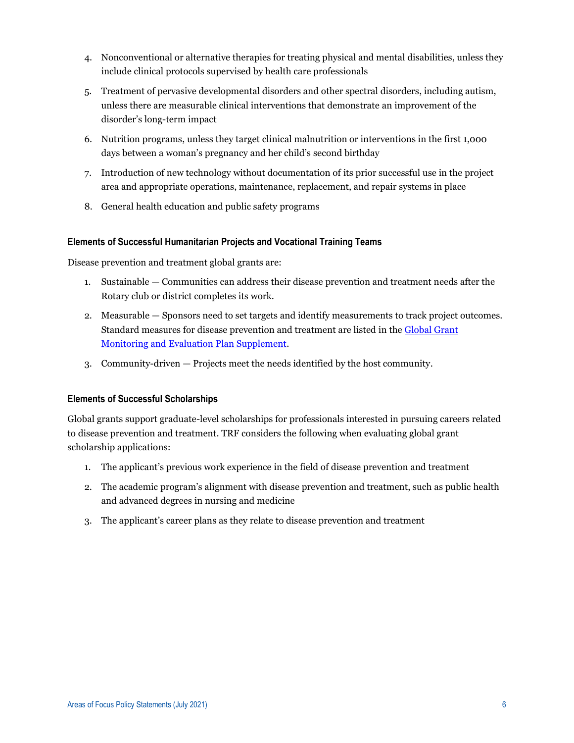- 4. Nonconventional or alternative therapies for treating physical and mental disabilities, unless they include clinical protocols supervised by health care professionals
- 5. Treatment of pervasive developmental disorders and other spectral disorders, including autism, unless there are measurable clinical interventions that demonstrate an improvement of the disorder's long-term impact
- 6. Nutrition programs, unless they target clinical malnutrition or interventions in the first 1,000 days between a woman's pregnancy and her child's second birthday
- 7. Introduction of new technology without documentation of its prior successful use in the project area and appropriate operations, maintenance, replacement, and repair systems in place
- 8. General health education and public safety programs

#### **Elements of Successful Humanitarian Projects and Vocational Training Teams**

Disease prevention and treatment global grants are:

- 1. Sustainable Communities can address their disease prevention and treatment needs after the Rotary club or district completes its work.
- 2. Measurable Sponsors need to set targets and identify measurements to track project outcomes. Standard measures for disease prevention and treatment are listed in th[e Global Grant](https://my.rotary.org/en/document/global-grant-monitoring-and-evaluation-plan-supplement)  [Monitoring and Evaluation Plan Supplement.](https://my.rotary.org/en/document/global-grant-monitoring-and-evaluation-plan-supplement)
- 3. Community-driven Projects meet the needs identified by the host community.

#### **Elements of Successful Scholarships**

Global grants support graduate-level scholarships for professionals interested in pursuing careers related to disease prevention and treatment. TRF considers the following when evaluating global grant scholarship applications:

- 1. The applicant's previous work experience in the field of disease prevention and treatment
- 2. The academic program's alignment with disease prevention and treatment, such as public health and advanced degrees in nursing and medicine
- 3. The applicant's career plans as they relate to disease prevention and treatment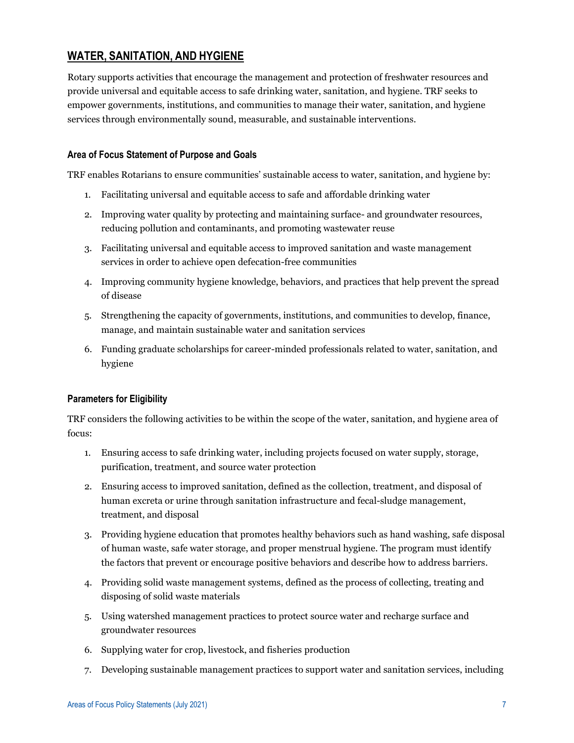# **WATER, SANITATION, AND HYGIENE**

Rotary supports activities that encourage the management and protection of freshwater resources and provide universal and equitable access to safe drinking water, sanitation, and hygiene. TRF seeks to empower governments, institutions, and communities to manage their water, sanitation, and hygiene services through environmentally sound, measurable, and sustainable interventions.

# **Area of Focus Statement of Purpose and Goals**

TRF enables Rotarians to ensure communities' sustainable access to water, sanitation, and hygiene by:

- 1. Facilitating universal and equitable access to safe and affordable drinking water
- 2. Improving water quality by protecting and maintaining surface- and groundwater resources, reducing pollution and contaminants, and promoting wastewater reuse
- 3. Facilitating universal and equitable access to improved sanitation and waste management services in order to achieve open defecation-free communities
- 4. Improving community hygiene knowledge, behaviors, and practices that help prevent the spread of disease
- 5. Strengthening the capacity of governments, institutions, and communities to develop, finance, manage, and maintain sustainable water and sanitation services
- 6. Funding graduate scholarships for career-minded professionals related to water, sanitation, and hygiene

# **Parameters for Eligibility**

TRF considers the following activities to be within the scope of the water, sanitation, and hygiene area of focus:

- 1. Ensuring access to safe drinking water, including projects focused on water supply, storage, purification, treatment, and source water protection
- 2. Ensuring access to improved sanitation, defined as the collection, treatment, and disposal of human excreta or urine through sanitation infrastructure and fecal-sludge management, treatment, and disposal
- 3. Providing hygiene education that promotes healthy behaviors such as hand washing, safe disposal of human waste, safe water storage, and proper menstrual hygiene. The program must identify the factors that prevent or encourage positive behaviors and describe how to address barriers.
- 4. Providing solid waste management systems, defined as the process of collecting, treating and disposing of solid waste materials
- 5. Using watershed management practices to protect source water and recharge surface and groundwater resources
- 6. Supplying water for crop, livestock, and fisheries production
- 7. Developing sustainable management practices to support water and sanitation services, including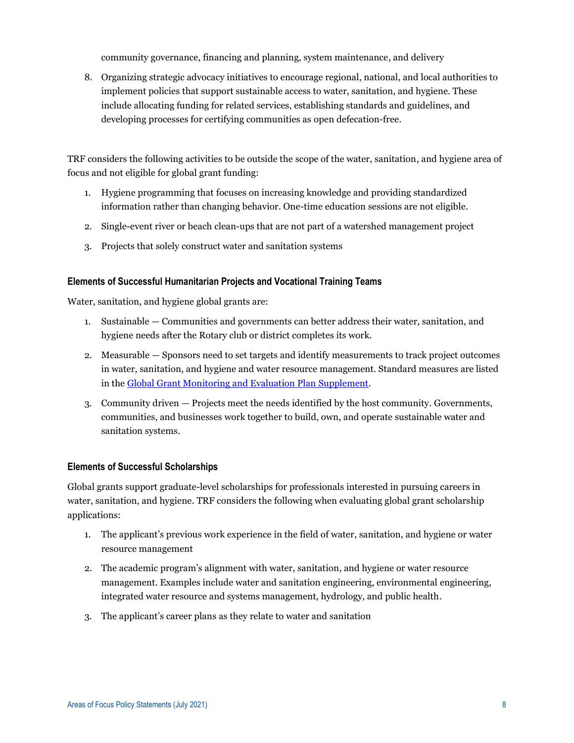community governance, financing and planning, system maintenance, and delivery

8. Organizing strategic advocacy initiatives to encourage regional, national, and local authorities to implement policies that support sustainable access to water, sanitation, and hygiene. These include allocating funding for related services, establishing standards and guidelines, and developing processes for certifying communities as open defecation-free.

TRF considers the following activities to be outside the scope of the water, sanitation, and hygiene area of focus and not eligible for global grant funding:

- 1. Hygiene programming that focuses on increasing knowledge and providing standardized information rather than changing behavior. One-time education sessions are not eligible.
- 2. Single-event river or beach clean-ups that are not part of a watershed management project
- 3. Projects that solely construct water and sanitation systems

#### **Elements of Successful Humanitarian Projects and Vocational Training Teams**

Water, sanitation, and hygiene global grants are:

- 1. Sustainable Communities and governments can better address their water, sanitation, and hygiene needs after the Rotary club or district completes its work.
- 2. Measurable Sponsors need to set targets and identify measurements to track project outcomes in water, sanitation, and hygiene and water resource management. Standard measures are listed in the [Global Grant Monitoring and Evaluation Plan](https://my.rotary.org/en/document/global-grant-monitoring-and-evaluation-plan-supplement) Supplement.
- 3. Community driven Projects meet the needs identified by the host community. Governments, communities, and businesses work together to build, own, and operate sustainable water and sanitation systems.

#### **Elements of Successful Scholarships**

Global grants support graduate-level scholarships for professionals interested in pursuing careers in water, sanitation, and hygiene. TRF considers the following when evaluating global grant scholarship applications:

- 1. The applicant's previous work experience in the field of water, sanitation, and hygiene or water resource management
- 2. The academic program's alignment with water, sanitation, and hygiene or water resource management. Examples include water and sanitation engineering, environmental engineering, integrated water resource and systems management, hydrology, and public health.
- 3. The applicant's career plans as they relate to water and sanitation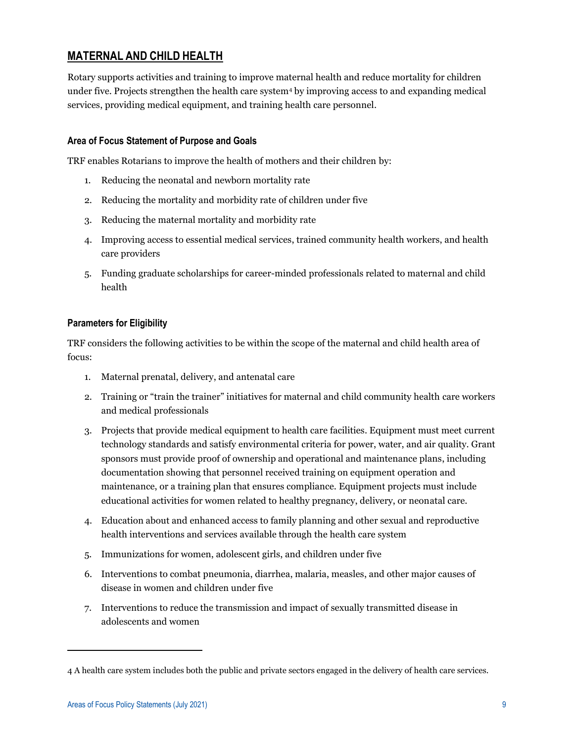# **MATERNAL AND CHILD HEALTH**

Rotary supports activities and training to improve maternal health and reduce mortality for children under five. Projects strengthen the health care system<sup>4</sup> by improving access to and expanding medical services, providing medical equipment, and training health care personnel.

# **Area of Focus Statement of Purpose and Goals**

TRF enables Rotarians to improve the health of mothers and their children by:

- 1. Reducing the neonatal and newborn mortality rate
- 2. Reducing the mortality and morbidity rate of children under five
- 3. Reducing the maternal mortality and morbidity rate
- 4. Improving access to essential medical services, trained community health workers, and health care providers
- 5. Funding graduate scholarships for career-minded professionals related to maternal and child health

# **Parameters for Eligibility**

TRF considers the following activities to be within the scope of the maternal and child health area of focus:

- 1. Maternal prenatal, delivery, and antenatal care
- 2. Training or "train the trainer" initiatives for maternal and child community health care workers and medical professionals
- 3. Projects that provide medical equipment to health care facilities. Equipment must meet current technology standards and satisfy environmental criteria for power, water, and air quality. Grant sponsors must provide proof of ownership and operational and maintenance plans, including documentation showing that personnel received training on equipment operation and maintenance, or a training plan that ensures compliance. Equipment projects must include educational activities for women related to healthy pregnancy, delivery, or neonatal care.
- 4. Education about and enhanced access to family planning and other sexual and reproductive health interventions and services available through the health care system
- 5. Immunizations for women, adolescent girls, and children under five
- 6. Interventions to combat pneumonia, diarrhea, malaria, measles, and other major causes of disease in women and children under five
- 7. Interventions to reduce the transmission and impact of sexually transmitted disease in adolescents and women

<sup>4</sup> A health care system includes both the public and private sectors engaged in the delivery of health care services.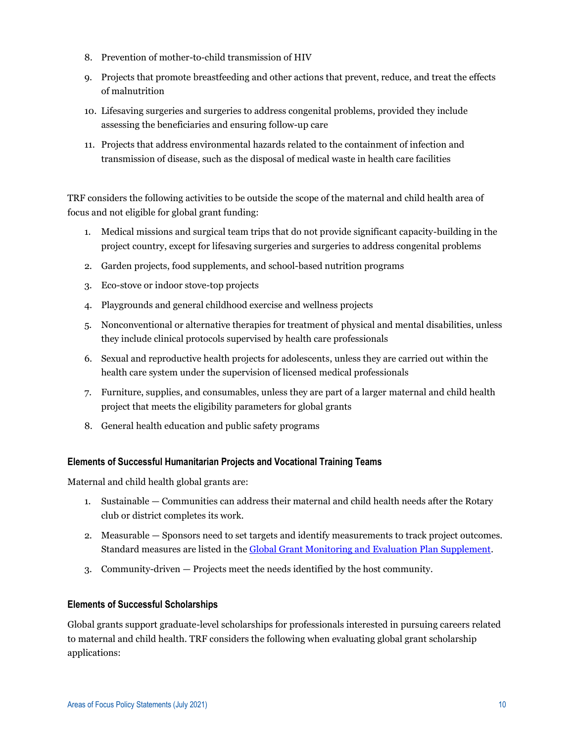- 8. Prevention of mother-to-child transmission of HIV
- 9. Projects that promote breastfeeding and other actions that prevent, reduce, and treat the effects of malnutrition
- 10. Lifesaving surgeries and surgeries to address congenital problems, provided they include assessing the beneficiaries and ensuring follow-up care
- 11. Projects that address environmental hazards related to the containment of infection and transmission of disease, such as the disposal of medical waste in health care facilities

TRF considers the following activities to be outside the scope of the maternal and child health area of focus and not eligible for global grant funding:

- 1. Medical missions and surgical team trips that do not provide significant capacity-building in the project country, except for lifesaving surgeries and surgeries to address congenital problems
- 2. Garden projects, food supplements, and school-based nutrition programs
- 3. Eco-stove or indoor stove-top projects
- 4. Playgrounds and general childhood exercise and wellness projects
- 5. Nonconventional or alternative therapies for treatment of physical and mental disabilities, unless they include clinical protocols supervised by health care professionals
- 6. Sexual and reproductive health projects for adolescents, unless they are carried out within the health care system under the supervision of licensed medical professionals
- 7. Furniture, supplies, and consumables, unless they are part of a larger maternal and child health project that meets the eligibility parameters for global grants
- 8. General health education and public safety programs

#### **Elements of Successful Humanitarian Projects and Vocational Training Teams**

Maternal and child health global grants are:

- 1. Sustainable Communities can address their maternal and child health needs after the Rotary club or district completes its work.
- 2. Measurable Sponsors need to set targets and identify measurements to track project outcomes. Standard measures are listed in the [Global Grant Monitoring and Evaluation Plan Supplement.](https://my.rotary.org/en/document/global-grant-monitoring-and-evaluation-plan-supplement)
- 3. Community-driven Projects meet the needs identified by the host community.

#### **Elements of Successful Scholarships**

Global grants support graduate-level scholarships for professionals interested in pursuing careers related to maternal and child health. TRF considers the following when evaluating global grant scholarship applications: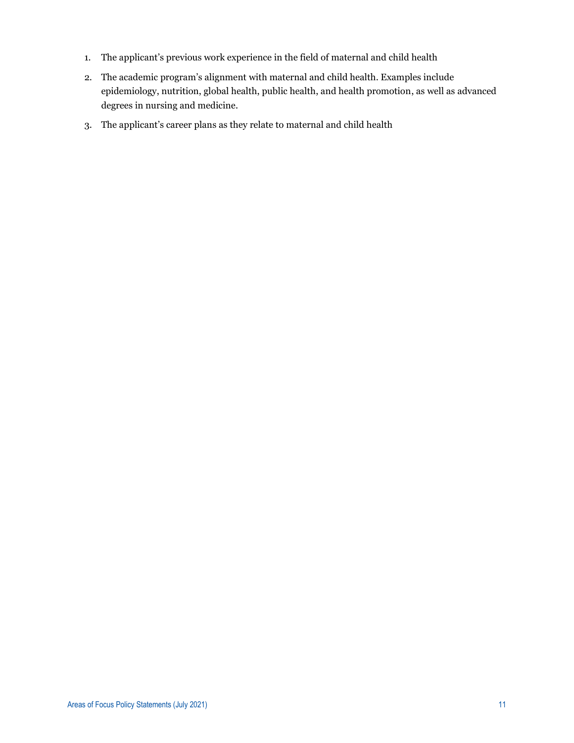- 1. The applicant's previous work experience in the field of maternal and child health
- 2. The academic program's alignment with maternal and child health. Examples include epidemiology, nutrition, global health, public health, and health promotion, as well as advanced degrees in nursing and medicine.
- 3. The applicant's career plans as they relate to maternal and child health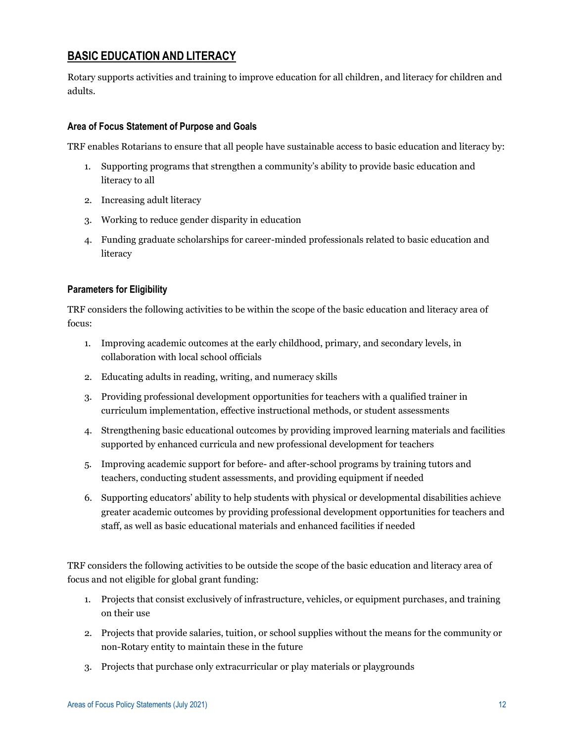# **BASIC EDUCATION AND LITERACY**

Rotary supports activities and training to improve education for all children, and literacy for children and adults.

# **Area of Focus Statement of Purpose and Goals**

TRF enables Rotarians to ensure that all people have sustainable access to basic education and literacy by:

- 1. Supporting programs that strengthen a community's ability to provide basic education and literacy to all
- 2. Increasing adult literacy
- 3. Working to reduce gender disparity in education
- 4. Funding graduate scholarships for career-minded professionals related to basic education and literacy

# **Parameters for Eligibility**

TRF considers the following activities to be within the scope of the basic education and literacy area of focus:

- 1. Improving academic outcomes at the early childhood, primary, and secondary levels, in collaboration with local school officials
- 2. Educating adults in reading, writing, and numeracy skills
- 3. Providing professional development opportunities for teachers with a qualified trainer in curriculum implementation, effective instructional methods, or student assessments
- 4. Strengthening basic educational outcomes by providing improved learning materials and facilities supported by enhanced curricula and new professional development for teachers
- 5. Improving academic support for before- and after-school programs by training tutors and teachers, conducting student assessments, and providing equipment if needed
- 6. Supporting educators' ability to help students with physical or developmental disabilities achieve greater academic outcomes by providing professional development opportunities for teachers and staff, as well as basic educational materials and enhanced facilities if needed

TRF considers the following activities to be outside the scope of the basic education and literacy area of focus and not eligible for global grant funding:

- 1. Projects that consist exclusively of infrastructure, vehicles, or equipment purchases, and training on their use
- 2. Projects that provide salaries, tuition, or school supplies without the means for the community or non-Rotary entity to maintain these in the future
- 3. Projects that purchase only extracurricular or play materials or playgrounds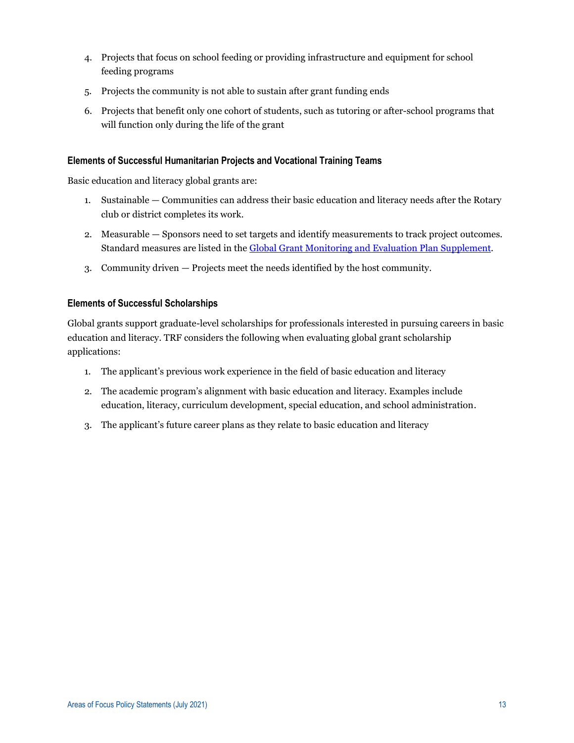- 4. Projects that focus on school feeding or providing infrastructure and equipment for school feeding programs
- 5. Projects the community is not able to sustain after grant funding ends
- 6. Projects that benefit only one cohort of students, such as tutoring or after-school programs that will function only during the life of the grant

#### **Elements of Successful Humanitarian Projects and Vocational Training Teams**

Basic education and literacy global grants are:

- 1. Sustainable Communities can address their basic education and literacy needs after the Rotary club or district completes its work.
- 2. Measurable Sponsors need to set targets and identify measurements to track project outcomes. Standard measures are listed in the [Global Grant Monitoring and Evaluation Plan Supplement.](https://my.rotary.org/en/document/global-grant-monitoring-and-evaluation-plan-supplement)
- 3. Community driven Projects meet the needs identified by the host community.

#### **Elements of Successful Scholarships**

Global grants support graduate-level scholarships for professionals interested in pursuing careers in basic education and literacy. TRF considers the following when evaluating global grant scholarship applications:

- 1. The applicant's previous work experience in the field of basic education and literacy
- 2. The academic program's alignment with basic education and literacy. Examples include education, literacy, curriculum development, special education, and school administration.
- 3. The applicant's future career plans as they relate to basic education and literacy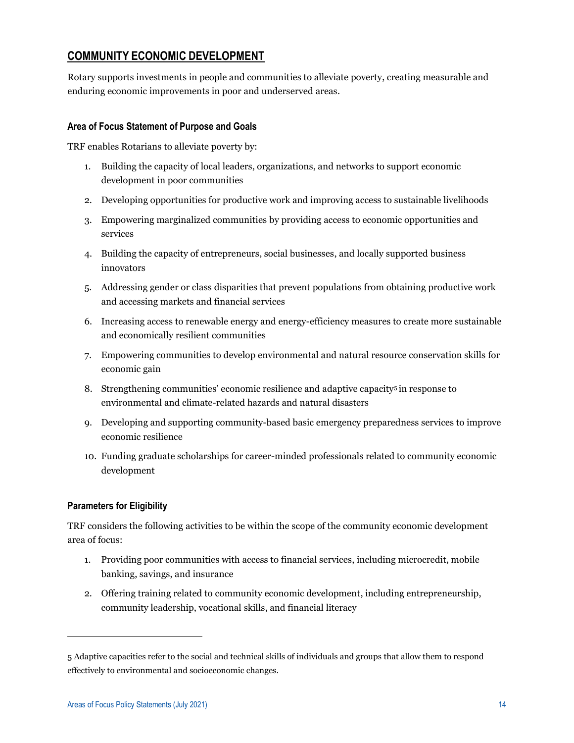# **COMMUNITY ECONOMIC DEVELOPMENT**

Rotary supports investments in people and communities to alleviate poverty, creating measurable and enduring economic improvements in poor and underserved areas.

# **Area of Focus Statement of Purpose and Goals**

TRF enables Rotarians to alleviate poverty by:

- 1. Building the capacity of local leaders, organizations, and networks to support economic development in poor communities
- 2. Developing opportunities for productive work and improving access to sustainable livelihoods
- 3. Empowering marginalized communities by providing access to economic opportunities and services
- 4. Building the capacity of entrepreneurs, social businesses, and locally supported business innovators
- 5. Addressing gender or class disparities that prevent populations from obtaining productive work and accessing markets and financial services
- 6. Increasing access to renewable energy and energy-efficiency measures to create more sustainable and economically resilient communities
- 7. Empowering communities to develop environmental and natural resource conservation skills for economic gain
- 8. Strengthening communities' economic resilience and adaptive capacity<sup>5</sup> in response to environmental and climate-related hazards and natural disasters
- 9. Developing and supporting community-based basic emergency preparedness services to improve economic resilience
- 10. Funding graduate scholarships for career-minded professionals related to community economic development

# **Parameters for Eligibility**

TRF considers the following activities to be within the scope of the community economic development area of focus:

- 1. Providing poor communities with access to financial services, including microcredit, mobile banking, savings, and insurance
- 2. Offering training related to community economic development, including entrepreneurship, community leadership, vocational skills, and financial literacy

<sup>5</sup> Adaptive capacities refer to the social and technical skills of individuals and groups that allow them to respond effectively to environmental and socioeconomic changes.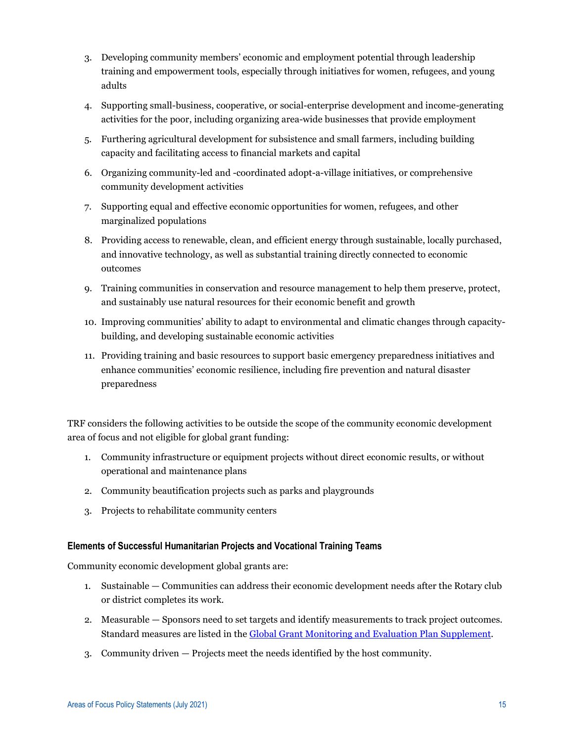- 3. Developing community members' economic and employment potential through leadership training and empowerment tools, especially through initiatives for women, refugees, and young adults
- 4. Supporting small-business, cooperative, or social-enterprise development and income-generating activities for the poor, including organizing area-wide businesses that provide employment
- 5. Furthering agricultural development for subsistence and small farmers, including building capacity and facilitating access to financial markets and capital
- 6. Organizing community-led and -coordinated adopt-a-village initiatives, or comprehensive community development activities
- 7. Supporting equal and effective economic opportunities for women, refugees, and other marginalized populations
- 8. Providing access to renewable, clean, and efficient energy through sustainable, locally purchased, and innovative technology, as well as substantial training directly connected to economic outcomes
- 9. Training communities in conservation and resource management to help them preserve, protect, and sustainably use natural resources for their economic benefit and growth
- 10. Improving communities' ability to adapt to environmental and climatic changes through capacitybuilding, and developing sustainable economic activities
- 11. Providing training and basic resources to support basic emergency preparedness initiatives and enhance communities' economic resilience, including fire prevention and natural disaster preparedness

TRF considers the following activities to be outside the scope of the community economic development area of focus and not eligible for global grant funding:

- 1. Community infrastructure or equipment projects without direct economic results, or without operational and maintenance plans
- 2. Community beautification projects such as parks and playgrounds
- 3. Projects to rehabilitate community centers

# **Elements of Successful Humanitarian Projects and Vocational Training Teams**

Community economic development global grants are:

- 1. Sustainable Communities can address their economic development needs after the Rotary club or district completes its work.
- 2. Measurable Sponsors need to set targets and identify measurements to track project outcomes. Standard measures are listed in the [Global Grant Monitoring and Evaluation Plan Supplement.](https://my.rotary.org/en/document/global-grant-monitoring-and-evaluation-plan-supplement)
- 3. Community driven Projects meet the needs identified by the host community.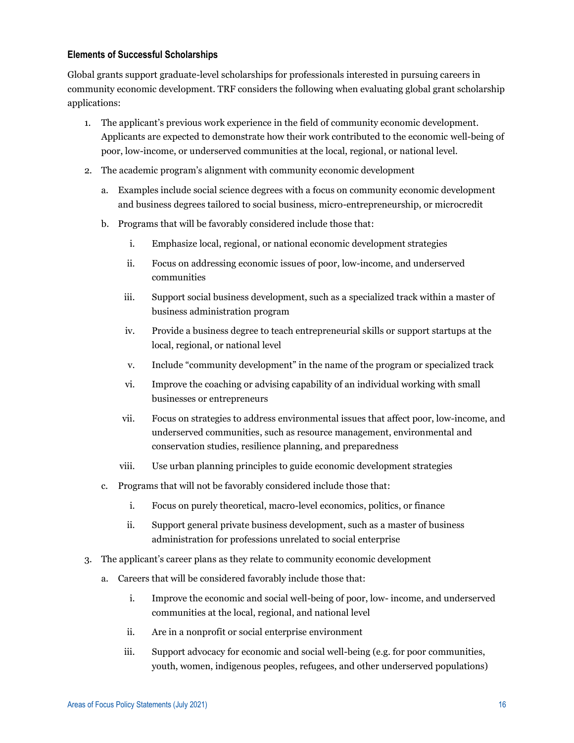# **Elements of Successful Scholarships**

Global grants support graduate-level scholarships for professionals interested in pursuing careers in community economic development. TRF considers the following when evaluating global grant scholarship applications:

- 1. The applicant's previous work experience in the field of community economic development. Applicants are expected to demonstrate how their work contributed to the economic well-being of poor, low-income, or underserved communities at the local, regional, or national level.
- 2. The academic program's alignment with community economic development
	- a. Examples include social science degrees with a focus on community economic development and business degrees tailored to social business, micro-entrepreneurship, or microcredit
	- b. Programs that will be favorably considered include those that:
		- i. Emphasize local, regional, or national economic development strategies
		- ii. Focus on addressing economic issues of poor, low-income, and underserved communities
		- iii. Support social business development, such as a specialized track within a master of business administration program
		- iv. Provide a business degree to teach entrepreneurial skills or support startups at the local, regional, or national level
		- v. Include "community development" in the name of the program or specialized track
		- vi. Improve the coaching or advising capability of an individual working with small businesses or entrepreneurs
		- vii. Focus on strategies to address environmental issues that affect poor, low-income, and underserved communities, such as resource management, environmental and conservation studies, resilience planning, and preparedness
		- viii. Use urban planning principles to guide economic development strategies
	- c. Programs that will not be favorably considered include those that:
		- i. Focus on purely theoretical, macro-level economics, politics, or finance
		- ii. Support general private business development, such as a master of business administration for professions unrelated to social enterprise
- 3. The applicant's career plans as they relate to community economic development
	- a. Careers that will be considered favorably include those that:
		- i. Improve the economic and social well-being of poor, low- income, and underserved communities at the local, regional, and national level
		- ii. Are in a nonprofit or social enterprise environment
		- iii. Support advocacy for economic and social well-being (e.g. for poor communities, youth, women, indigenous peoples, refugees, and other underserved populations)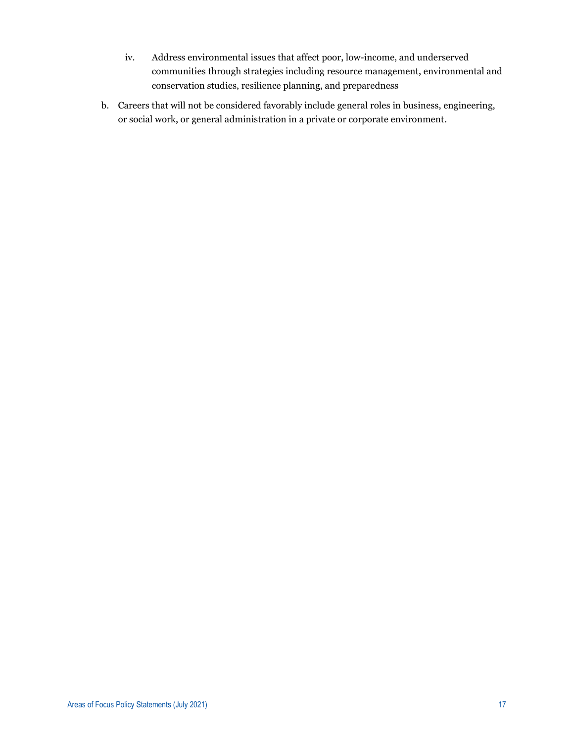- iv. Address environmental issues that affect poor, low-income, and underserved communities through strategies including resource management, environmental and conservation studies, resilience planning, and preparedness
- b. Careers that will not be considered favorably include general roles in business, engineering, or social work, or general administration in a private or corporate environment.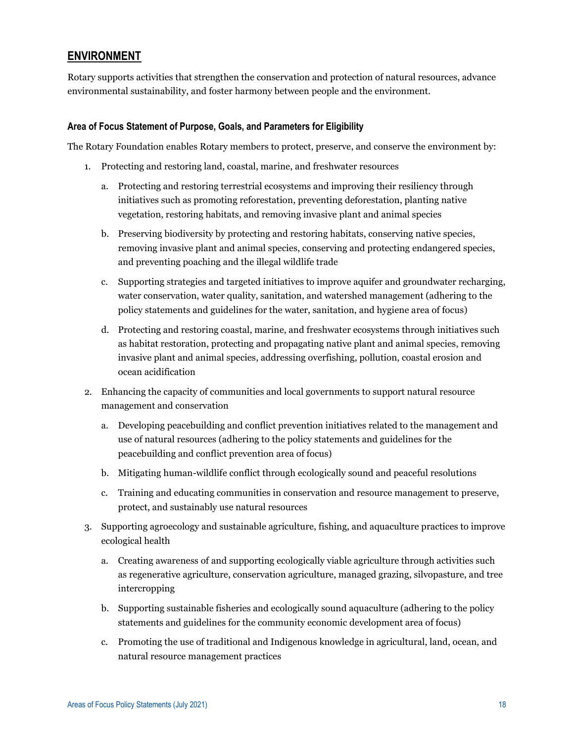# **ENVIRONMENT**

Rotary supports activities that strengthen the conservation and protection of natural resources, advance environmental sustainability, and foster harmony between people and the environment.

#### **Area of Focus Statement of Purpose, Goals, and Parameters for Eligibility**

The Rotary Foundation enables Rotary members to protect, preserve, and conserve the environment by:

- 1. Protecting and restoring land, coastal, marine, and freshwater resources
	- a. Protecting and restoring terrestrial ecosystems and improving their resiliency through initiatives such as promoting reforestation, preventing deforestation, planting native vegetation, restoring habitats, and removing invasive plant and animal species
	- b. Preserving biodiversity by protecting and restoring habitats, conserving native species, removing invasive plant and animal species, conserving and protecting endangered species, and preventing poaching and the illegal wildlife trade
	- c. Supporting strategies and targeted initiatives to improve aquifer and groundwater recharging, water conservation, water quality, sanitation, and watershed management (adhering to the policy statements and guidelines for the water, sanitation, and hygiene area of focus)
	- d. Protecting and restoring coastal, marine, and freshwater ecosystems through initiatives such as habitat restoration, protecting and propagating native plant and animal species, removing invasive plant and animal species, addressing overfishing, pollution, coastal erosion and ocean acidification
- 2. Enhancing the capacity of communities and local governments to support natural resource management and conservation
	- a. Developing peacebuilding and conflict prevention initiatives related to the management and use of natural resources (adhering to the policy statements and guidelines for the peacebuilding and conflict prevention area of focus)
	- b. Mitigating human-wildlife conflict through ecologically sound and peaceful resolutions
	- c. Training and educating communities in conservation and resource management to preserve, protect, and sustainably use natural resources
- 3. Supporting agroecology and sustainable agriculture, fishing, and aquaculture practices to improve ecological health
	- a. Creating awareness of and supporting ecologically viable agriculture through activities such as regenerative agriculture, conservation agriculture, managed grazing, silvopasture, and tree intercropping
	- b. Supporting sustainable fisheries and ecologically sound aquaculture (adhering to the policy statements and guidelines for the community economic development area of focus)
	- c. Promoting the use of traditional and Indigenous knowledge in agricultural, land, ocean, and natural resource management practices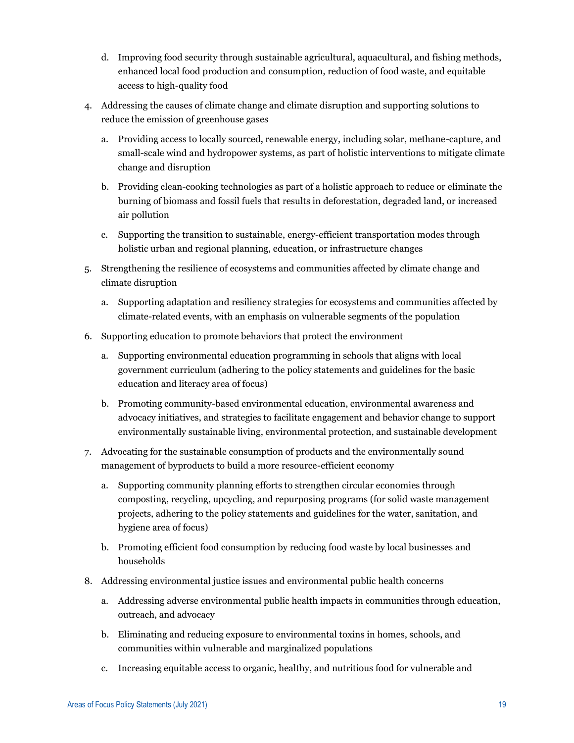- d. Improving food security through sustainable agricultural, aquacultural, and fishing methods, enhanced local food production and consumption, reduction of food waste, and equitable access to high-quality food
- 4. Addressing the causes of climate change and climate disruption and supporting solutions to reduce the emission of greenhouse gases
	- a. Providing access to locally sourced, renewable energy, including solar, methane-capture, and small-scale wind and hydropower systems, as part of holistic interventions to mitigate climate change and disruption
	- b. Providing clean-cooking technologies as part of a holistic approach to reduce or eliminate the burning of biomass and fossil fuels that results in deforestation, degraded land, or increased air pollution
	- c. Supporting the transition to sustainable, energy-efficient transportation modes through holistic urban and regional planning, education, or infrastructure changes
- 5. Strengthening the resilience of ecosystems and communities affected by climate change and climate disruption
	- a. Supporting adaptation and resiliency strategies for ecosystems and communities affected by climate-related events, with an emphasis on vulnerable segments of the population
- 6. Supporting education to promote behaviors that protect the environment
	- a. Supporting environmental education programming in schools that aligns with local government curriculum (adhering to the policy statements and guidelines for the basic education and literacy area of focus)
	- b. Promoting community-based environmental education, environmental awareness and advocacy initiatives, and strategies to facilitate engagement and behavior change to support environmentally sustainable living, environmental protection, and sustainable development
- 7. Advocating for the sustainable consumption of products and the environmentally sound management of byproducts to build a more resource-efficient economy
	- a. Supporting community planning efforts to strengthen circular economies through composting, recycling, upcycling, and repurposing programs (for solid waste management projects, adhering to the policy statements and guidelines for the water, sanitation, and hygiene area of focus)
	- b. Promoting efficient food consumption by reducing food waste by local businesses and households
- 8. Addressing environmental justice issues and environmental public health concerns
	- a. Addressing adverse environmental public health impacts in communities through education, outreach, and advocacy
	- b. Eliminating and reducing exposure to environmental toxins in homes, schools, and communities within vulnerable and marginalized populations
	- c. Increasing equitable access to organic, healthy, and nutritious food for vulnerable and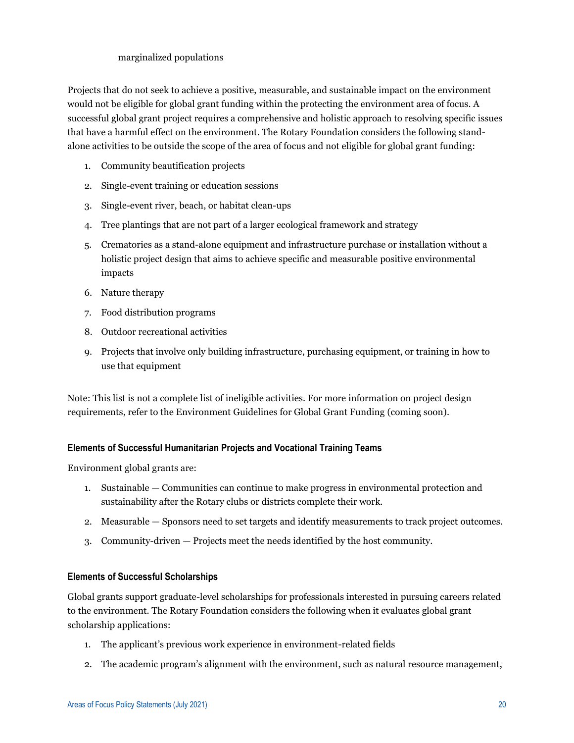# marginalized populations

Projects that do not seek to achieve a positive, measurable, and sustainable impact on the environment would not be eligible for global grant funding within the protecting the environment area of focus. A successful global grant project requires a comprehensive and holistic approach to resolving specific issues that have a harmful effect on the environment. The Rotary Foundation considers the following standalone activities to be outside the scope of the area of focus and not eligible for global grant funding:

- 1. Community beautification projects
- 2. Single-event training or education sessions
- 3. Single-event river, beach, or habitat clean-ups
- 4. Tree plantings that are not part of a larger ecological framework and strategy
- 5. Crematories as a stand-alone equipment and infrastructure purchase or installation without a holistic project design that aims to achieve specific and measurable positive environmental impacts
- 6. Nature therapy
- 7. Food distribution programs
- 8. Outdoor recreational activities
- 9. Projects that involve only building infrastructure, purchasing equipment, or training in how to use that equipment

Note: This list is not a complete list of ineligible activities. For more information on project design requirements, refer to the Environment Guidelines for Global Grant Funding (coming soon).

#### **Elements of Successful Humanitarian Projects and Vocational Training Teams**

Environment global grants are:

- 1. Sustainable Communities can continue to make progress in environmental protection and sustainability after the Rotary clubs or districts complete their work.
- 2. Measurable Sponsors need to set targets and identify measurements to track project outcomes.
- 3. Community-driven Projects meet the needs identified by the host community.

#### **Elements of Successful Scholarships**

Global grants support graduate-level scholarships for professionals interested in pursuing careers related to the environment. The Rotary Foundation considers the following when it evaluates global grant scholarship applications:

- 1. The applicant's previous work experience in environment-related fields
- 2. The academic program's alignment with the environment, such as natural resource management,